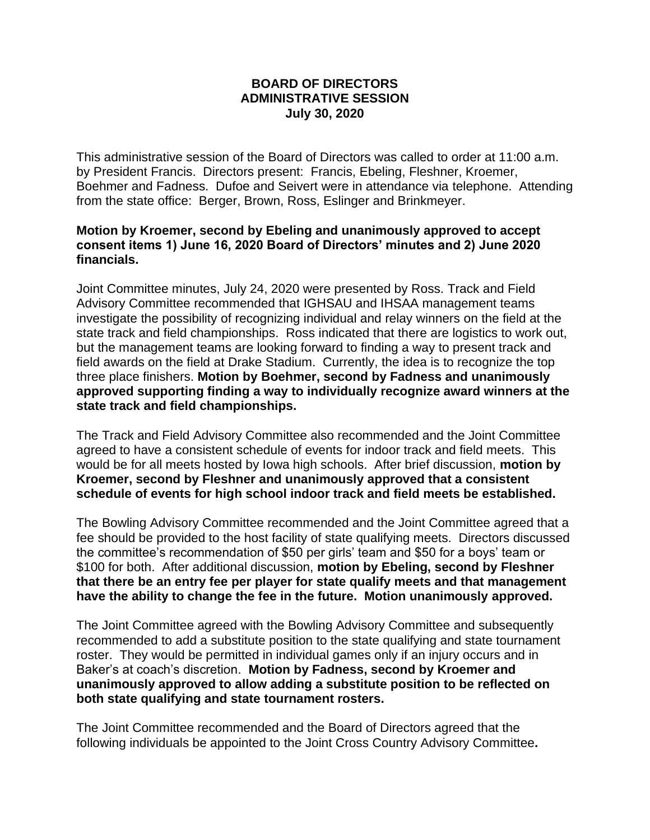## **BOARD OF DIRECTORS ADMINISTRATIVE SESSION July 30, 2020**

This administrative session of the Board of Directors was called to order at 11:00 a.m. by President Francis. Directors present: Francis, Ebeling, Fleshner, Kroemer, Boehmer and Fadness. Dufoe and Seivert were in attendance via telephone. Attending from the state office: Berger, Brown, Ross, Eslinger and Brinkmeyer.

## **Motion by Kroemer, second by Ebeling and unanimously approved to accept consent items 1) June 16, 2020 Board of Directors' minutes and 2) June 2020 financials.**

Joint Committee minutes, July 24, 2020 were presented by Ross. Track and Field Advisory Committee recommended that IGHSAU and IHSAA management teams investigate the possibility of recognizing individual and relay winners on the field at the state track and field championships. Ross indicated that there are logistics to work out, but the management teams are looking forward to finding a way to present track and field awards on the field at Drake Stadium. Currently, the idea is to recognize the top three place finishers. **Motion by Boehmer, second by Fadness and unanimously approved supporting finding a way to individually recognize award winners at the state track and field championships.**

The Track and Field Advisory Committee also recommended and the Joint Committee agreed to have a consistent schedule of events for indoor track and field meets. This would be for all meets hosted by Iowa high schools. After brief discussion, **motion by Kroemer, second by Fleshner and unanimously approved that a consistent schedule of events for high school indoor track and field meets be established.**

The Bowling Advisory Committee recommended and the Joint Committee agreed that a fee should be provided to the host facility of state qualifying meets. Directors discussed the committee's recommendation of \$50 per girls' team and \$50 for a boys' team or \$100 for both. After additional discussion, **motion by Ebeling, second by Fleshner that there be an entry fee per player for state qualify meets and that management have the ability to change the fee in the future. Motion unanimously approved.**

The Joint Committee agreed with the Bowling Advisory Committee and subsequently recommended to add a substitute position to the state qualifying and state tournament roster. They would be permitted in individual games only if an injury occurs and in Baker's at coach's discretion. **Motion by Fadness, second by Kroemer and unanimously approved to allow adding a substitute position to be reflected on both state qualifying and state tournament rosters.**

The Joint Committee recommended and the Board of Directors agreed that the following individuals be appointed to the Joint Cross Country Advisory Committee**.**